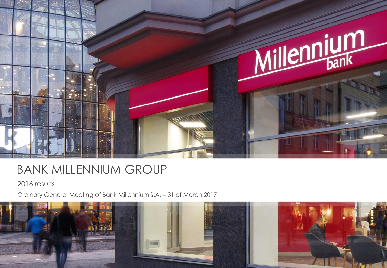

#### BANK MILLENNIUM GROUP

2016 results

Ordinary General Meeting of Bank Millennium S.A. – 31 of March 2017

![](_page_0_Picture_4.jpeg)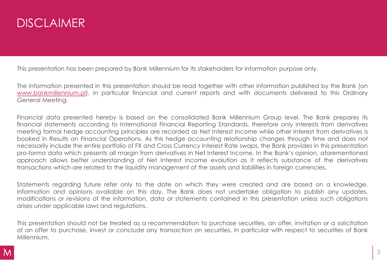### **DISCLAIMER**

This presentation has been prepared by Bank Millennium for its stakeholders for information purpose only.

The information presented in this presentation should be read together with other information published by the Bank (on [www.bankmillennium.pl](http://www.bankmillennium.pl/)), in particular financial and current reports and with documents delivered to this Ordinary General Meeting.

Financial data presented hereby is based on the consolidated Bank Millennium Group level. The Bank prepares its financial statements according to International Financial Reporting Standards, therefore only interests from derivatives meeting formal hedge accounting principles are recorded as Net Interest Income while other interest from derivatives is booked in Results on Financial Operations. As this hedge accounting relationship changes through time and does not necessarily include the entire portfolio of FX and Cross Currency Interest Rate swaps, the Bank provides in this presentation pro-forma data which presents all margin from derivatives in Net Interest Income. In the Bank's opinion, aforementioned approach allows better understanding of Net Interest Income evolution as it reflects substance of the derivatives transactions which are related to the liquidity management of the assets and liabilities in foreign currencies.

Statements regarding future refer only to the date on which they were created and are based on a knowledge, information and opinions available on this day. The Bank does not undertake obligation to publish any updates, modifications or revisions of the information, data or statements contained in this presentation unless such obligations arises under applicable laws and regulations.

This presentation should not be treated as a recommendation to purchase securities, an offer, invitation or a solicitation of an offer to purchase, invest or conclude any transaction on securities, in particular with respect to securities of Bank Millennium.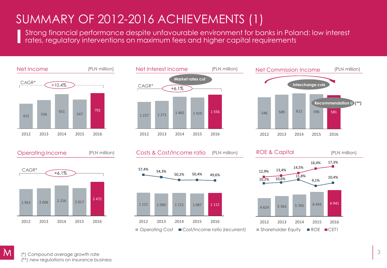## SUMMARY OF 2012-2016 ACHIEVEMENTS (1)

Strong financial performance despite unfavourable environment for banks in Poland: low interest rates, regulatory interventions on maximum fees and higher capital requirements

![](_page_2_Figure_2.jpeg)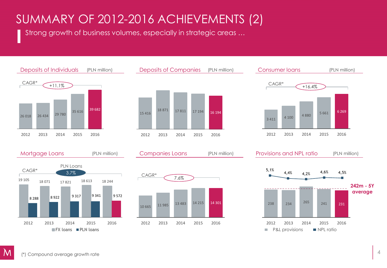# SUMMARY OF 2012-2016 ACHIEVEMENTS (2)

Strong growth of business volumes, especially in strategic areas …

![](_page_3_Figure_2.jpeg)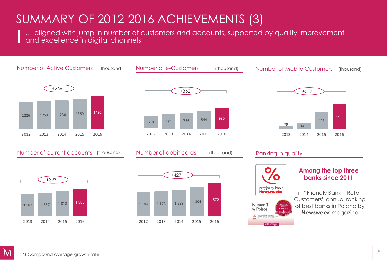### SUMMARY OF 2012-2016 ACHIEVEMENTS (3)

… aligned with jump in number of customers and accounts, supported by quality improvement and excellence in digital channels

![](_page_4_Figure_2.jpeg)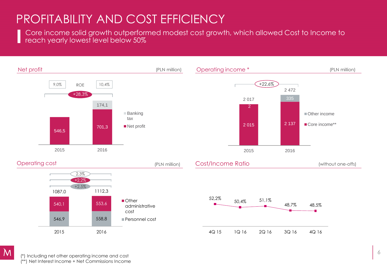### PROFITABILITY AND COST EFFICIENCY

Core income solid growth outperformed modest cost growth, which allowed Cost to Income to reach yearly lowest level below 50%

![](_page_5_Figure_2.jpeg)

(\*) Including net other operating income and cost (\*\*) Net Interest Income + Net Commissions Income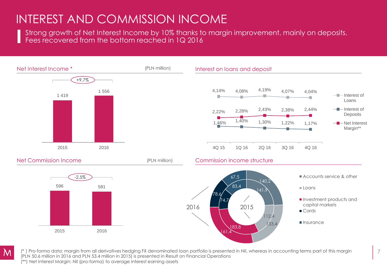#### INTEREST AND COMMISSION INCOME

Strong growth of Net Interest Income by 10% thanks to margin improvement, mainly on deposits. Fees recovered from the bottom reached in 1Q 2016

![](_page_6_Figure_2.jpeg)

(\* ) Pro-forma data: margin from all derivatives hedging FX denominated loan portfolio is presented in NII, whereas in accounting terms part of this margin (PLN 50.6 million in 2016 and PLN 53.4 million in 2015) is presented in Result on Financial Operations (\*\*) Net Interest Margin: NII (pro-forma) to average interest earning assets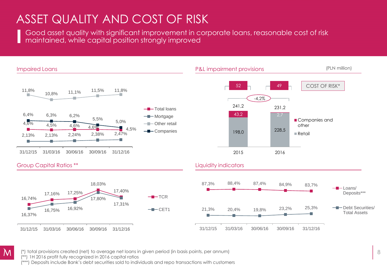## ASSET QUALITY AND COST OF RISK

Good asset quality with significant improvement in corporate loans, reasonable cost of risk maintained, while capital position strongly improved

![](_page_7_Figure_2.jpeg)

![](_page_7_Picture_3.jpeg)

(\*) total provisions created (net) to average net loans in given period (in basis points, per annum)

(\*\*) 1H 2016 profit fully recognized in 2016 capital ratios

(\*\*\*) Deposits include Bank's debt securities sold to individuals and repo transactions with customers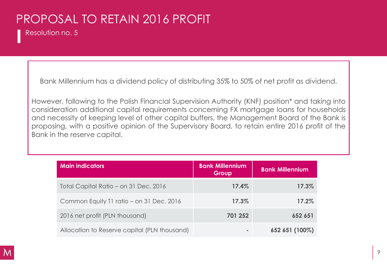# PROPOSAL TO RETAIN 2016 PROFIT

Resolution no. 5

Bank Millennium has a dividend policy of distributing 35% to 50% of net profit as dividend.

However, following to the Polish Financial Supervision Authority (KNF) position\* and taking into consideration additional capital requirements concerning FX mortgage loans for households and necessity of keeping level of other capital buffers, the Management Board of the Bank is proposing, with a positive opinion of the Supervisory Board, to retain entire 2016 profit of the Bank in the reserve capital.

| <b>Main indicators</b>                       | <b>Bank Millennium</b><br>Group | <b>Bank Millennium</b> |
|----------------------------------------------|---------------------------------|------------------------|
| Total Capital Ratio - on 31 Dec. 2016        | 17.4%                           | 17.3%                  |
| Common Equity T1 ratio – on 31 Dec. 2016     | 17.3%                           | 17.2%                  |
| 2016 net profit (PLN thousand)               | 701 252                         | 652 651                |
| Allocation to Reserve capital (PLN thousand) |                                 | 652 651 (100%)         |